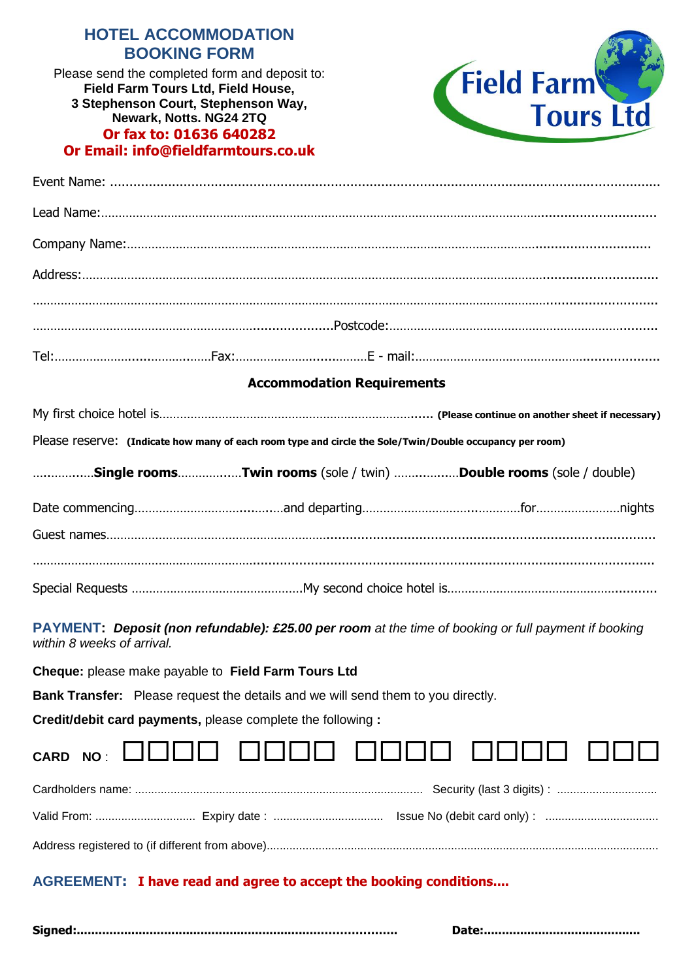# **HOTEL ACCOMMODATION BOOKING FORM**

**BOOKING DETAILS: 3 Stephenson Court, Stephenson Way,**  Please send the completed form and deposit to: **Field Farm Tours Ltd, Field House, Newark, Notts. NG24 2TQ Or fax to: 01636 640282 Or Email: info@fieldfarmtours.co.uk**



## **Accommodation Requirements**

|                 | Please reserve: (Indicate how many of each room type and circle the Sole/Twin/Double occupancy per room) |                                                                                                                       |         |
|-----------------|----------------------------------------------------------------------------------------------------------|-----------------------------------------------------------------------------------------------------------------------|---------|
|                 | Single roomsTwin rooms (sole / twin) Double rooms (sole / double)                                        |                                                                                                                       |         |
| Date commencing | and denarting                                                                                            | <u>tor</u> to the contract of the contract of the contract of the contract of the contract of the contract of the con | nights. |

| <u>rato common question que esta contra la apparticipamente al contra municipal de municipal de la contra de la co</u> |
|------------------------------------------------------------------------------------------------------------------------|
|                                                                                                                        |
|                                                                                                                        |
|                                                                                                                        |
|                                                                                                                        |

**PAYMENT:** *Deposit (non refundable): £25.00 per room at the time of booking or full payment if booking within 8 weeks of arrival.*

**Cheque:** please make payable to **Field Farm Tours Ltd**

**Bank Transfer:** Please request the details and we will send them to you directly.

**Credit/debit card payments,** please complete the following **:**

|  |  |  |  | CARD NO: 0000 0000 0000 0000 000 |  |
|--|--|--|--|----------------------------------|--|
|  |  |  |  |                                  |  |
|  |  |  |  |                                  |  |
|  |  |  |  |                                  |  |

## **AGREEMENT: I have read and agree to accept the booking conditions....**

**Signed:...................................................................……………….. Date:...........................................**